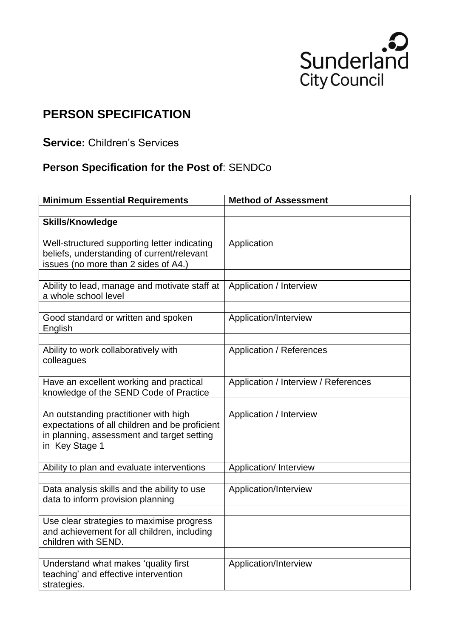

## **PERSON SPECIFICATION**

**Service:** Children's Services

## **Person Specification for the Post of**: SENDCo

| <b>Minimum Essential Requirements</b>                                                                                                                   | <b>Method of Assessment</b>          |
|---------------------------------------------------------------------------------------------------------------------------------------------------------|--------------------------------------|
|                                                                                                                                                         |                                      |
| <b>Skills/Knowledge</b>                                                                                                                                 |                                      |
| Well-structured supporting letter indicating<br>beliefs, understanding of current/relevant<br>issues (no more than 2 sides of A4.)                      | Application                          |
|                                                                                                                                                         | Application / Interview              |
| Ability to lead, manage and motivate staff at<br>a whole school level                                                                                   |                                      |
| Good standard or written and spoken<br>English                                                                                                          | Application/Interview                |
| Ability to work collaboratively with<br>colleagues                                                                                                      | <b>Application / References</b>      |
| Have an excellent working and practical<br>knowledge of the SEND Code of Practice                                                                       | Application / Interview / References |
| An outstanding practitioner with high<br>expectations of all children and be proficient<br>in planning, assessment and target setting<br>in Key Stage 1 | Application / Interview              |
| Ability to plan and evaluate interventions                                                                                                              | Application/ Interview               |
|                                                                                                                                                         |                                      |
| Data analysis skills and the ability to use<br>data to inform provision planning                                                                        | Application/Interview                |
| Use clear strategies to maximise progress<br>and achievement for all children, including<br>children with SEND.                                         |                                      |
| Understand what makes 'quality first<br>teaching' and effective intervention<br>strategies.                                                             | Application/Interview                |